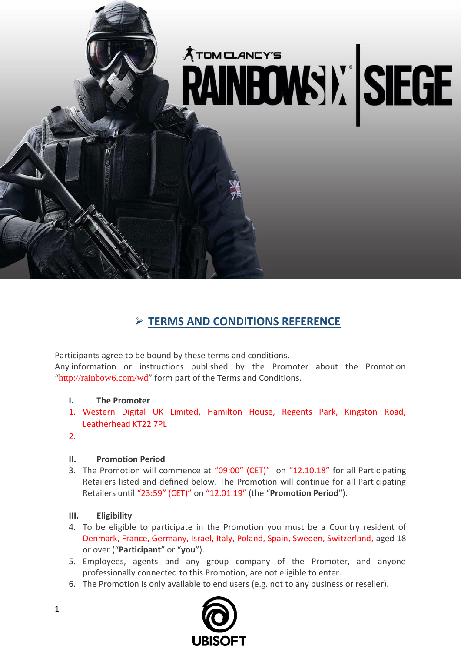

# ➢ **TERMS AND CONDITIONS REFERENCE**

Participants agree to be bound by these terms and conditions.

Any information or instructions published by the Promoter about the Promotion "http://rainbow6.com/wd" form part of the Terms and Conditions.

### **I. The Promoter**

- 1. Western Digital UK Limited, Hamilton House, Regents Park, Kingston Road, Leatherhead KT22 7PL
- 2.

### **II. Promotion Period**

3. The Promotion will commence at "09:00" (CET)" on "12.10.18" for all Participating Retailers listed and defined below. The Promotion will continue for all Participating Retailers until "23:59" (CET)" on "12.01.19" (the "**Promotion Period**").

### **III. Eligibility**

- 4. To be eligible to participate in the Promotion you must be a Country resident of Denmark, France, Germany, Israel, Italy, Poland, Spain, Sweden, Switzerland, aged 18 or over ("**Participant**" or "**you**").
- 5. Employees, agents and any group company of the Promoter, and anyone professionally connected to this Promotion, are not eligible to enter.
- 6. The Promotion is only available to end users (e.g. not to any business or reseller).

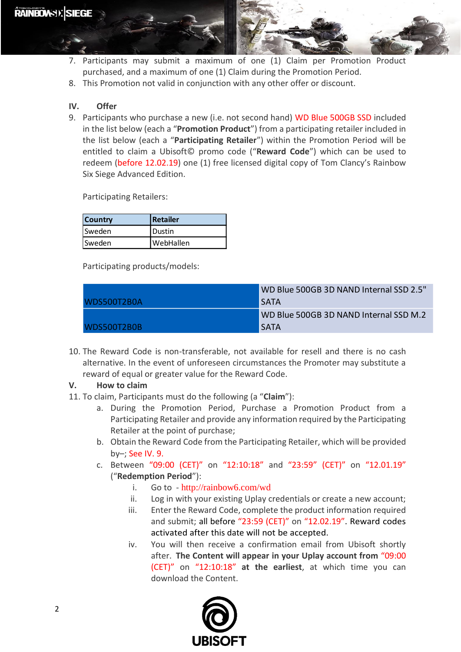

- 7. Participants may submit a maximum of one (1) Claim per Promotion Product purchased, and a maximum of one (1) Claim during the Promotion Period.
- 8. This Promotion not valid in conjunction with any other offer or discount.

## **IV. Offer**

9. Participants who purchase a new (i.e. not second hand) WD Blue 500GB SSD included in the list below (each a "**Promotion Product**") from a participating retailer included in the list below (each a "**Participating Retailer**") within the Promotion Period will be entitled to claim a Ubisoft© promo code ("**Reward Code**") which can be used to redeem (before 12.02.19) one (1) free licensed digital copy of Tom Clancy's Rainbow Six Siege Advanced Edition.

Participating Retailers:

| <b>Country</b> | l Retailer |
|----------------|------------|
| <b>Sweden</b>  | l Dustin   |
| <b>Sweden</b>  | WebHallen  |

Participating products/models:

|             | WD Blue 500GB 3D NAND Internal SSD 2.5" |
|-------------|-----------------------------------------|
| WDS500T2B0A | <b>SATA</b>                             |
|             | WD Blue 500GB 3D NAND Internal SSD M.2  |
| WDS500T2B0B | <b>SATA</b>                             |

10. The Reward Code is non-transferable, not available for resell and there is no cash alternative. In the event of unforeseen circumstances the Promoter may substitute a reward of equal or greater value for the Reward Code.

### **V. How to claim**

- 11. To claim, Participants must do the following (a "**Claim**"):
	- a. During the Promotion Period, Purchase a Promotion Product from a Participating Retailer and provide any information required by the Participating Retailer at the point of purchase;
	- b. Obtain the Reward Code from the Participating Retailer, which will be provided by–; See IV. 9.
	- c. Between "09:00 (CET)" on "12:10:18" and "23:59" (CET)" on "12.01.19" ("**Redemption Period**"):
		- i. Go to http://rainbow6.com/wd
		- ii. Log in with your existing Uplay credentials or create a new account;
		- iii. Enter the Reward Code, complete the product information required and submit; all before "23:59 (CET)" on "12.02.19". Reward codes activated after this date will not be accepted.
		- iv. You will then receive a confirmation email from Ubisoft shortly after. **The Content will appear in your Uplay account from** "09:00 (CET)" on "12:10:18" **at the earliest**, at which time you can download the Content.